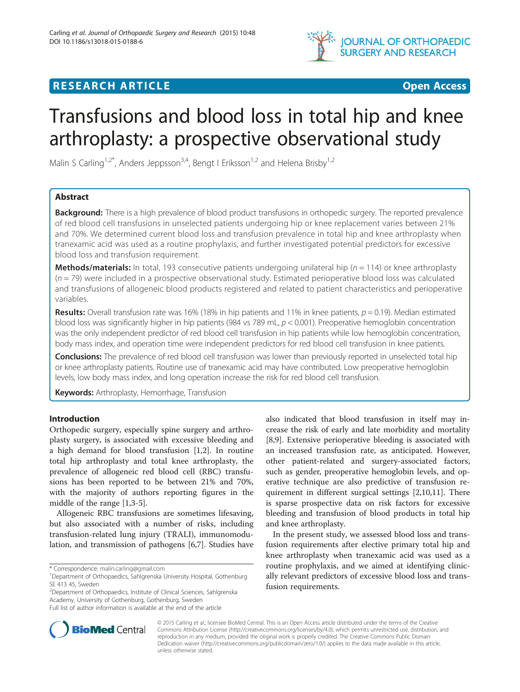

# **RESEARCH ARTICLE Example 2014 CONSUMING A RESEARCH ARTICLE**

# Transfusions and blood loss in total hip and knee arthroplasty: a prospective observational study

Malin S Carling<sup>1,2\*</sup>, Anders Jeppsson<sup>3,4</sup>, Bengt I Eriksson<sup>1,2</sup> and Helena Brisby<sup>1,2</sup>

# Abstract

**Background:** There is a high prevalence of blood product transfusions in orthopedic surgery. The reported prevalence of red blood cell transfusions in unselected patients undergoing hip or knee replacement varies between 21% and 70%. We determined current blood loss and transfusion prevalence in total hip and knee arthroplasty when tranexamic acid was used as a routine prophylaxis, and further investigated potential predictors for excessive blood loss and transfusion requirement.

**Methods/materials:** In total, 193 consecutive patients undergoing unilateral hip ( $n = 114$ ) or knee arthroplasty  $(n = 79)$  were included in a prospective observational study. Estimated perioperative blood loss was calculated and transfusions of allogeneic blood products registered and related to patient characteristics and perioperative variables.

Results: Overall transfusion rate was 16% (18% in hip patients and 11% in knee patients,  $p = 0.19$ ). Median estimated blood loss was significantly higher in hip patients (984 vs 789 mL,  $p < 0.001$ ). Preoperative hemoglobin concentration was the only independent predictor of red blood cell transfusion in hip patients while low hemoglobin concentration, body mass index, and operation time were independent predictors for red blood cell transfusion in knee patients.

Conclusions: The prevalence of red blood cell transfusion was lower than previously reported in unselected total hip or knee arthroplasty patients. Routine use of tranexamic acid may have contributed. Low preoperative hemoglobin levels, low body mass index, and long operation increase the risk for red blood cell transfusion.

Keywords: Arthroplasty, Hemorrhage, Transfusion

# Introduction

Orthopedic surgery, especially spine surgery and arthroplasty surgery, is associated with excessive bleeding and a high demand for blood transfusion [[1,2\]](#page-5-0). In routine total hip arthroplasty and total knee arthroplasty, the prevalence of allogeneic red blood cell (RBC) transfusions has been reported to be between 21% and 70%, with the majority of authors reporting figures in the middle of the range [\[1,3](#page-5-0)-[5\]](#page-5-0).

Allogeneic RBC transfusions are sometimes lifesaving, but also associated with a number of risks, including transfusion-related lung injury (TRALI), immunomodulation, and transmission of pathogens [[6](#page-5-0),[7\]](#page-5-0). Studies have

<sup>2</sup>Department of Orthopaedics, Institute of Clinical Sciences, Sahlgrenska Academy, University of Gothenburg, Gothenburg, Sweden Full list of author information is available at the end of the article

also indicated that blood transfusion in itself may increase the risk of early and late morbidity and mortality [[8,9\]](#page-5-0). Extensive perioperative bleeding is associated with an increased transfusion rate, as anticipated. However, other patient-related and surgery-associated factors, such as gender, preoperative hemoglobin levels, and operative technique are also predictive of transfusion requirement in different surgical settings [\[2,10,11\]](#page-5-0). There is sparse prospective data on risk factors for excessive bleeding and transfusion of blood products in total hip and knee arthroplasty.

In the present study, we assessed blood loss and transfusion requirements after elective primary total hip and knee arthroplasty when tranexamic acid was used as a routine prophylaxis, and we aimed at identifying clinically relevant predictors of excessive blood loss and transfusion requirements.



© 2015 Carling et al.; licensee BioMed Central. This is an Open Access article distributed under the terms of the Creative Commons Attribution License [\(http://creativecommons.org/licenses/by/4.0\)](http://creativecommons.org/licenses/by/4.0), which permits unrestricted use, distribution, and reproduction in any medium, provided the original work is properly credited. The Creative Commons Public Domain Dedication waiver [\(http://creativecommons.org/publicdomain/zero/1.0/](http://creativecommons.org/publicdomain/zero/1.0/)) applies to the data made available in this article, unless otherwise stated.

<sup>\*</sup> Correspondence: [malin.carling@gmail.com](mailto:malin.carling@gmail.com) <sup>1</sup>

<sup>&</sup>lt;sup>1</sup>Department of Orthopaedics, Sahlgrenska University Hospital, Gothenburg SE 413 45, Sweden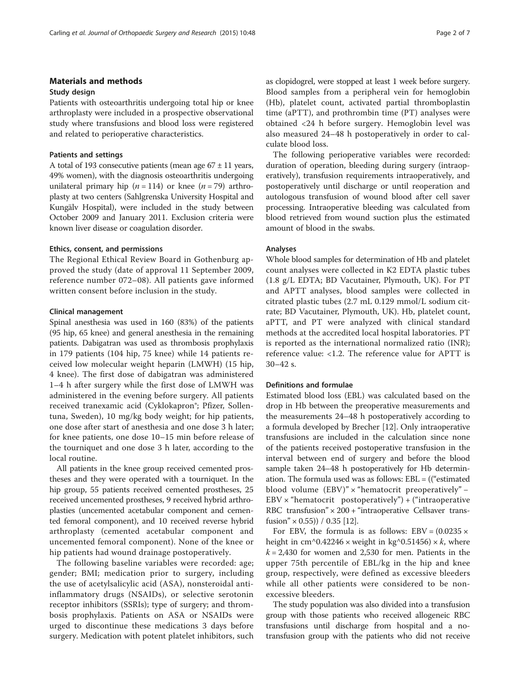# Materials and methods

#### Study design

Patients with osteoarthritis undergoing total hip or knee arthroplasty were included in a prospective observational study where transfusions and blood loss were registered and related to perioperative characteristics.

#### Patients and settings

A total of 193 consecutive patients (mean age  $67 \pm 11$  years, 49% women), with the diagnosis osteoarthritis undergoing unilateral primary hip ( $n = 114$ ) or knee ( $n = 79$ ) arthroplasty at two centers (Sahlgrenska University Hospital and Kungälv Hospital), were included in the study between October 2009 and January 2011. Exclusion criteria were known liver disease or coagulation disorder.

## Ethics, consent, and permissions

The Regional Ethical Review Board in Gothenburg approved the study (date of approval 11 September 2009, reference number 072–08). All patients gave informed written consent before inclusion in the study.

#### Clinical management

Spinal anesthesia was used in 160 (83%) of the patients (95 hip, 65 knee) and general anesthesia in the remaining patients. Dabigatran was used as thrombosis prophylaxis in 179 patients (104 hip, 75 knee) while 14 patients received low molecular weight heparin (LMWH) (15 hip, 4 knee). The first dose of dabigatran was administered 1–4 h after surgery while the first dose of LMWH was administered in the evening before surgery. All patients received tranexamic acid (Cyklokapron®; Pfizer, Sollentuna, Sweden), 10 mg/kg body weight; for hip patients, one dose after start of anesthesia and one dose 3 h later; for knee patients, one dose 10–15 min before release of the tourniquet and one dose 3 h later, according to the local routine.

All patients in the knee group received cemented prostheses and they were operated with a tourniquet. In the hip group, 55 patients received cemented prostheses, 25 received uncemented prostheses, 9 received hybrid arthroplasties (uncemented acetabular component and cemented femoral component), and 10 received reverse hybrid arthroplasty (cemented acetabular component and uncemented femoral component). None of the knee or hip patients had wound drainage postoperatively.

The following baseline variables were recorded: age; gender; BMI; medication prior to surgery, including the use of acetylsalicylic acid (ASA), nonsteroidal antiinflammatory drugs (NSAIDs), or selective serotonin receptor inhibitors (SSRIs); type of surgery; and thrombosis prophylaxis. Patients on ASA or NSAIDs were urged to discontinue these medications 3 days before surgery. Medication with potent platelet inhibitors, such as clopidogrel, were stopped at least 1 week before surgery. Blood samples from a peripheral vein for hemoglobin (Hb), platelet count, activated partial thromboplastin time (aPTT), and prothrombin time (PT) analyses were obtained <24 h before surgery. Hemoglobin level was also measured 24–48 h postoperatively in order to calculate blood loss.

The following perioperative variables were recorded: duration of operation, bleeding during surgery (intraoperatively), transfusion requirements intraoperatively, and postoperatively until discharge or until reoperation and autologous transfusion of wound blood after cell saver processing. Intraoperative bleeding was calculated from blood retrieved from wound suction plus the estimated amount of blood in the swabs.

# Analyses

Whole blood samples for determination of Hb and platelet count analyses were collected in K2 EDTA plastic tubes (1.8 g/L EDTA; BD Vacutainer, Plymouth, UK). For PT and APTT analyses, blood samples were collected in citrated plastic tubes (2.7 mL 0.129 mmol/L sodium citrate; BD Vacutainer, Plymouth, UK). Hb, platelet count, aPTT, and PT were analyzed with clinical standard methods at the accredited local hospital laboratories. PT is reported as the international normalized ratio (INR); reference value: <1.2. The reference value for APTT is 30–42 s.

#### Definitions and formulae

Estimated blood loss (EBL) was calculated based on the drop in Hb between the preoperative measurements and the measurements 24–48 h postoperatively according to a formula developed by Brecher [\[12\]](#page-5-0). Only intraoperative transfusions are included in the calculation since none of the patients received postoperative transfusion in the interval between end of surgery and before the blood sample taken 24–48 h postoperatively for Hb determination. The formula used was as follows: EBL = (("estimated blood volume (EBV)" × "hematocrit preoperatively" −  $EBV \times$  "hematocrit postoperatively") + ("intraoperative RBC transfusion"  $\times$  200 + "intraoperative Cellsaver transfusion"  $\times$  0.55)) / 0.35 [\[12\]](#page-5-0).

For EBV, the formula is as follows: EBV =  $(0.0235 \times$ height in cm^0.42246  $\times$  weight in kg^0.51456)  $\times$  k, where  $k = 2,430$  for women and 2,530 for men. Patients in the upper 75th percentile of EBL/kg in the hip and knee group, respectively, were defined as excessive bleeders while all other patients were considered to be nonexcessive bleeders.

The study population was also divided into a transfusion group with those patients who received allogeneic RBC transfusions until discharge from hospital and a notransfusion group with the patients who did not receive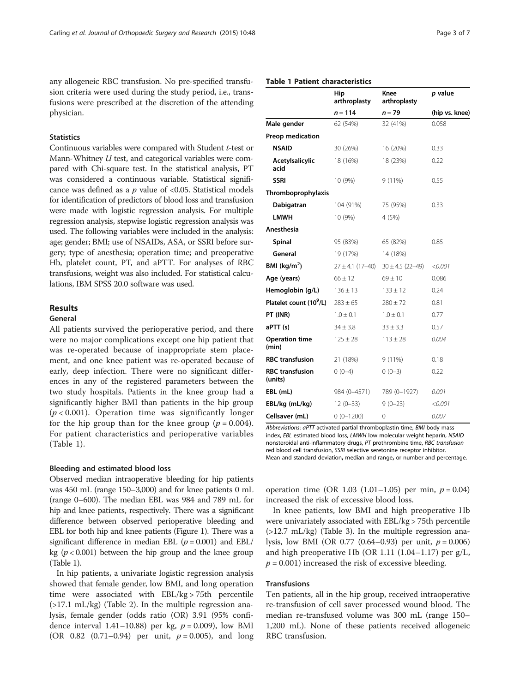any allogeneic RBC transfusion. No pre-specified transfusion criteria were used during the study period, i.e., transfusions were prescribed at the discretion of the attending physician.

# **Statistics**

Continuous variables were compared with Student t-test or Mann-Whitney *U* test, and categorical variables were compared with Chi-square test. In the statistical analysis, PT was considered a continuous variable. Statistical significance was defined as a  $p$  value of <0.05. Statistical models for identification of predictors of blood loss and transfusion were made with logistic regression analysis. For multiple regression analysis, stepwise logistic regression analysis was used. The following variables were included in the analysis: age; gender; BMI; use of NSAIDs, ASA, or SSRI before surgery; type of anesthesia; operation time; and preoperative Hb, platelet count, PT, and aPTT. For analyses of RBC transfusions, weight was also included. For statistical calculations, IBM SPSS 20.0 software was used.

# Results

## General

All patients survived the perioperative period, and there were no major complications except one hip patient that was re-operated because of inappropriate stem placement, and one knee patient was re-operated because of early, deep infection. There were no significant differences in any of the registered parameters between the two study hospitals. Patients in the knee group had a significantly higher BMI than patients in the hip group  $(p < 0.001)$ . Operation time was significantly longer for the hip group than for the knee group ( $p = 0.004$ ). For patient characteristics and perioperative variables (Table 1).

#### Bleeding and estimated blood loss

Observed median intraoperative bleeding for hip patients was 450 mL (range 150–3,000) and for knee patients 0 mL (range 0–600). The median EBL was 984 and 789 mL for hip and knee patients, respectively. There was a significant difference between observed perioperative bleeding and EBL for both hip and knee patients (Figure [1](#page-3-0)). There was a significant difference in median EBL  $(p = 0.001)$  and EBL/ kg ( $p < 0.001$ ) between the hip group and the knee group (Table 1).

In hip patients, a univariate logistic regression analysis showed that female gender, low BMI, and long operation time were associated with EBL/kg > 75th percentile (>17.1 mL/kg) (Table [2\)](#page-3-0). In the multiple regression analysis, female gender (odds ratio (OR) 3.91 (95% confidence interval  $1.41-10.88$ ) per kg,  $p = 0.009$ ), low BMI (OR 0.82 (0.71–0.94) per unit,  $p = 0.005$ ), and long

|                                     | Hip<br>arthroplasty  | Knee<br>arthroplasty | p value        |
|-------------------------------------|----------------------|----------------------|----------------|
|                                     | $n = 114$            | $n = 79$             | (hip vs. knee) |
| Male gender                         | 62 (54%)             | 32 (41%)             | 0.058          |
| Preop medication                    |                      |                      |                |
| <b>NSAID</b>                        | 30 (26%)             | 16 (20%)             | 0.33           |
| <b>Acetylsalicylic</b><br>acid      | 18 (16%)             | 18 (23%)             | 0.22           |
| <b>SSRI</b>                         | 10 (9%)              | $9(11\%)$            | 0.55           |
| Thromboprophylaxis                  |                      |                      |                |
| Dabigatran                          | 104 (91%)            | 75 (95%)             | 0.33           |
| <b>LMWH</b>                         | 10 (9%)              | 4 (5%)               |                |
| Anesthesia                          |                      |                      |                |
| Spinal                              | 95 (83%)             | 65 (82%)             | 0.85           |
| General                             | 19 (17%)             | 14 (18%)             |                |
| BMI ( $kg/m2$ )                     | $27 \pm 4.1$ (17-40) | $30 \pm 4.5$ (22-49) | < 0.001        |
| Age (years)                         | $66 \pm 12$          | $69 + 10$            | 0.086          |
| Hemoglobin (g/L)                    | $136 \pm 13$         | $133 \pm 12$         | 0.24           |
| Platelet count (10 <sup>9</sup> /L) | $283 \pm 65$         | $280 \pm 72$         | 0.81           |
| PT (INR)                            | $1.0 \pm 0.1$        | $1.0 \pm 0.1$        | 0.77           |
| aPTT (s)                            | $34 \pm 3.8$         | $33 \pm 3.3$         | 0.57           |
| <b>Operation time</b><br>(min)      | $125 \pm 28$         | $113 \pm 28$         | 0.004          |
| <b>RBC</b> transfusion              | 21 (18%)             | $9(11\%)$            | 0.18           |
| <b>RBC</b> transfusion<br>(units)   | $0(0-4)$             | $0(0-3)$             | 0.22           |
| EBL (mL)                            | 984 (0-4571)         | 789 (0-1927)         | 0.001          |
| EBL/kg (mL/kg)                      | $12(0-33)$           | $9(0-23)$            | < 0.001        |
| Cellsaver (mL)                      | $0(0-1200)$          | 0                    | 0.007          |

Table 1 Patient characteristics

Abbreviations: aPTT activated partial thromboplastin time, BMI body mass index, EBL estimated blood loss, LMWH low molecular weight heparin, NSAID nonsteroidal anti-inflammatory drugs, PT prothrombine time, RBC transfusion red blood cell transfusion, SSRI selective seretonine receptor inhibitor. Mean and standard deviation, median and range, or number and percentage.

operation time (OR 1.03 (1.01–1.05) per min,  $p = 0.04$ ) increased the risk of excessive blood loss.

In knee patients, low BMI and high preoperative Hb were univariately associated with EBL/kg > 75th percentile (>12.7 mL/kg) (Table [3\)](#page-4-0). In the multiple regression analysis, low BMI (OR 0.77 (0.64–0.93) per unit,  $p = 0.006$ ) and high preoperative Hb (OR 1.11 (1.04–1.17) per g/L,  $p = 0.001$ ) increased the risk of excessive bleeding.

#### Transfusions

Ten patients, all in the hip group, received intraoperative re-transfusion of cell saver processed wound blood. The median re-transfused volume was 300 mL (range 150– 1,200 mL). None of these patients received allogeneic RBC transfusion.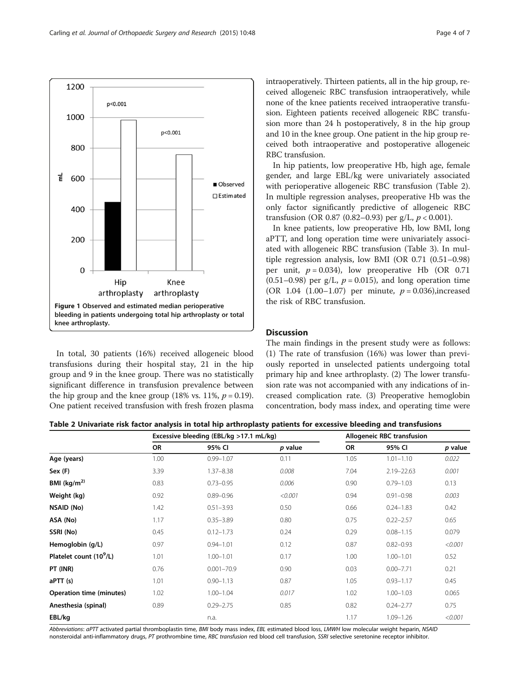In total, 30 patients (16%) received allogeneic blood transfusions during their hospital stay, 21 in the hip group and 9 in the knee group. There was no statistically significant difference in transfusion prevalence between the hip group and the knee group (18% vs. 11%,  $p = 0.19$ ). One patient received transfusion with fresh frozen plasma intraoperatively. Thirteen patients, all in the hip group, received allogeneic RBC transfusion intraoperatively, while none of the knee patients received intraoperative transfusion. Eighteen patients received allogeneic RBC transfusion more than 24 h postoperatively, 8 in the hip group and 10 in the knee group. One patient in the hip group received both intraoperative and postoperative allogeneic RBC transfusion.

In hip patients, low preoperative Hb, high age, female gender, and large EBL/kg were univariately associated with perioperative allogeneic RBC transfusion (Table 2). In multiple regression analyses, preoperative Hb was the only factor significantly predictive of allogeneic RBC transfusion (OR 0.87 (0.82–0.93) per g/L,  $p < 0.001$ ).

In knee patients, low preoperative Hb, low BMI, long aPTT, and long operation time were univariately associated with allogeneic RBC transfusion (Table [3](#page-4-0)). In multiple regression analysis, low BMI (OR 0.71 (0.51–0.98) per unit,  $p = 0.034$ ), low preoperative Hb (OR 0.71)  $(0.51-0.98)$  per g/L,  $p = 0.015$ ), and long operation time (OR 1.04  $(1.00-1.07)$  per minute,  $p = 0.036$ ), increased the risk of RBC transfusion.

## **Discussion**

The main findings in the present study were as follows: (1) The rate of transfusion (16%) was lower than previously reported in unselected patients undergoing total primary hip and knee arthroplasty. (2) The lower transfusion rate was not accompanied with any indications of increased complication rate. (3) Preoperative hemoglobin concentration, body mass index, and operating time were

|  |  |  |  |  | Table 2 Univariate risk factor analysis in total hip arthroplasty patients for excessive bleeding and transfusions |
|--|--|--|--|--|--------------------------------------------------------------------------------------------------------------------|
|  |  |  |  |  |                                                                                                                    |

|                                     | Excessive bleeding (EBL/kg >17.1 mL/kg) |                |         | <b>Allogeneic RBC transfusion</b> |                |         |
|-------------------------------------|-----------------------------------------|----------------|---------|-----------------------------------|----------------|---------|
|                                     | <b>OR</b>                               | 95% CI         | p value | <b>OR</b>                         | 95% CI         | p value |
| Age (years)                         | 1.00                                    | $0.99 - 1.07$  | 0.11    | 1.05                              | $1.01 - 1.10$  | 0.022   |
| Sex (F)                             | 3.39                                    | $1.37 - 8.38$  | 0.008   | 7.04                              | $2.19 - 22.63$ | 0.001   |
| BMI $(kg/m^2)$                      | 0.83                                    | $0.73 - 0.95$  | 0.006   | 0.90                              | $0.79 - 1.03$  | 0.13    |
| Weight (kg)                         | 0.92                                    | $0.89 - 0.96$  | < 0.001 | 0.94                              | $0.91 - 0.98$  | 0.003   |
| NSAID (No)                          | 1.42                                    | $0.51 - 3.93$  | 0.50    | 0.66                              | $0.24 - 1.83$  | 0.42    |
| ASA (No)                            | 1.17                                    | $0.35 - 3.89$  | 0.80    | 0.75                              | $0.22 - 2.57$  | 0.65    |
| SSRI (No)                           | 0.45                                    | $0.12 - 1.73$  | 0.24    | 0.29                              | $0.08 - 1.15$  | 0.079   |
| Hemoglobin (g/L)                    | 0.97                                    | $0.94 - 1.01$  | 0.12    | 0.87                              | $0.82 - 0.93$  | < 0.001 |
| Platelet count (10 <sup>9</sup> /L) | 1.01                                    | $1.00 - 1.01$  | 0.17    | 1.00                              | $1.00 - 1.01$  | 0.52    |
| PT (INR)                            | 0.76                                    | $0.001 - 70.9$ | 0.90    | 0.03                              | $0.00 - 7.71$  | 0.21    |
| aPTT (s)                            | 1.01                                    | $0.90 - 1.13$  | 0.87    | 1.05                              | $0.93 - 1.17$  | 0.45    |
| <b>Operation time (minutes)</b>     | 1.02                                    | $1.00 - 1.04$  | 0.017   | 1.02                              | $1.00 - 1.03$  | 0.065   |
| Anesthesia (spinal)                 | 0.89                                    | $0.29 - 2.75$  | 0.85    | 0.82                              | $0.24 - 2.77$  | 0.75    |
| EBL/kg                              |                                         | n.a.           |         | 1.17                              | $1.09 - 1.26$  | < 0.001 |

Abbreviations: aPTT activated partial thromboplastin time, BMI body mass index, EBL estimated blood loss, LMWH low molecular weight heparin, NSAID nonsteroidal anti-inflammatory drugs, PT prothrombine time, RBC transfusion red blood cell transfusion, SSRI selective seretonine receptor inhibitor.

<span id="page-3-0"></span>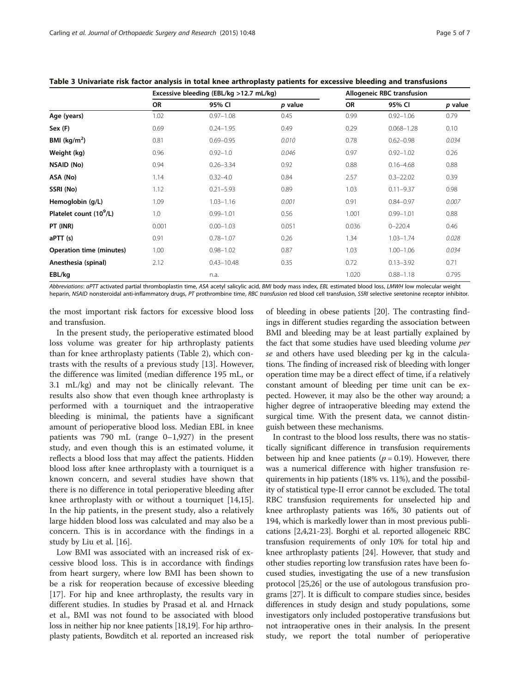|                                     | Excessive bleeding (EBL/kg >12.7 mL/kg) |                |           | <b>Allogeneic RBC transfusion</b> |                |         |  |
|-------------------------------------|-----------------------------------------|----------------|-----------|-----------------------------------|----------------|---------|--|
|                                     | OR                                      | 95% CI         | $p$ value | OR                                | 95% CI         | p value |  |
| Age (years)                         | 1.02                                    | $0.97 - 1.08$  | 0.45      | 0.99                              | $0.92 - 1.06$  | 0.79    |  |
| Sex (F)                             | 0.69                                    | $0.24 - 1.95$  | 0.49      | 0.29                              | $0.068 - 1.28$ | 0.10    |  |
| BMI $(kq/m2)$                       | 0.81                                    | $0.69 - 0.95$  | 0.010     | 0.78                              | $0.62 - 0.98$  | 0.034   |  |
| Weight (kg)                         | 0.96                                    | $0.92 - 1.0$   | 0.046     | 0.97                              | $0.92 - 1.02$  | 0.26    |  |
| NSAID (No)                          | 0.94                                    | $0.26 - 3.34$  | 0.92      | 0.88                              | $0.16 - 4.68$  | 0.88    |  |
| ASA (No)                            | 1.14                                    | $0.32 - 4.0$   | 0.84      | 2.57                              | $0.3 - 22.02$  | 0.39    |  |
| SSRI (No)                           | 1.12                                    | $0.21 - 5.93$  | 0.89      | 1.03                              | $0.11 - 9.37$  | 0.98    |  |
| Hemoglobin (g/L)                    | 1.09                                    | $1.03 - 1.16$  | 0.001     | 0.91                              | $0.84 - 0.97$  | 0.007   |  |
| Platelet count (10 <sup>9</sup> /L) | 1.0                                     | $0.99 - 1.01$  | 0.56      | 1.001                             | $0.99 - 1.01$  | 0.88    |  |
| PT (INR)                            | 0.001                                   | $0.00 - 1.03$  | 0.051     | 0.036                             | $0 - 220.4$    | 0.46    |  |
| aPTT (s)                            | 0.91                                    | $0.78 - 1.07$  | 0.26      | 1.34                              | $1.03 - 1.74$  | 0.028   |  |
| Operation time (minutes)            | 1.00                                    | $0.98 - 1.02$  | 0.87      | 1.03                              | $1.00 - 1.06$  | 0.034   |  |
| Anesthesia (spinal)                 | 2.12                                    | $0.43 - 10.48$ | 0.35      | 0.72                              | $0.13 - 3.92$  | 0.71    |  |
| EBL/kg                              |                                         | n.a.           |           | 1.020                             | $0.88 - 1.18$  | 0.795   |  |

<span id="page-4-0"></span>Table 3 Univariate risk factor analysis in total knee arthroplasty patients for excessive bleeding and transfusions

Abbreviations: aPTT activated partial thromboplastin time, ASA acetyl salicylic acid, BMI body mass index, EBL estimated blood loss, LMWH low molecular weight heparin, NSAID nonsteroidal anti-inflammatory drugs, PT prothrombine time, RBC transfusion red blood cell transfusion, SSRI selective seretonine receptor inhibitor.

the most important risk factors for excessive blood loss and transfusion.

In the present study, the perioperative estimated blood loss volume was greater for hip arthroplasty patients than for knee arthroplasty patients (Table [2](#page-3-0)), which contrasts with the results of a previous study [\[13](#page-5-0)]. However, the difference was limited (median difference 195 mL, or 3.1 mL/kg) and may not be clinically relevant. The results also show that even though knee arthroplasty is performed with a tourniquet and the intraoperative bleeding is minimal, the patients have a significant amount of perioperative blood loss. Median EBL in knee patients was 790 mL (range 0–1,927) in the present study, and even though this is an estimated volume, it reflects a blood loss that may affect the patients. Hidden blood loss after knee arthroplasty with a tourniquet is a known concern, and several studies have shown that there is no difference in total perioperative bleeding after knee arthroplasty with or without a tourniquet [\[14](#page-5-0)[,15](#page-6-0)]. In the hip patients, in the present study, also a relatively large hidden blood loss was calculated and may also be a concern. This is in accordance with the findings in a study by Liu et al. [[16\]](#page-6-0).

Low BMI was associated with an increased risk of excessive blood loss. This is in accordance with findings from heart surgery, where low BMI has been shown to be a risk for reoperation because of excessive bleeding [[17\]](#page-6-0). For hip and knee arthroplasty, the results vary in different studies. In studies by Prasad et al. and Hrnack et al., BMI was not found to be associated with blood loss in neither hip nor knee patients [\[18,19\]](#page-6-0). For hip arthroplasty patients, Bowditch et al. reported an increased risk of bleeding in obese patients [\[20](#page-6-0)]. The contrasting findings in different studies regarding the association between BMI and bleeding may be at least partially explained by the fact that some studies have used bleeding volume per se and others have used bleeding per kg in the calculations. The finding of increased risk of bleeding with longer operation time may be a direct effect of time, if a relatively constant amount of bleeding per time unit can be expected. However, it may also be the other way around; a higher degree of intraoperative bleeding may extend the surgical time. With the present data, we cannot distinguish between these mechanisms.

In contrast to the blood loss results, there was no statistically significant difference in transfusion requirements between hip and knee patients ( $p = 0.19$ ). However, there was a numerical difference with higher transfusion requirements in hip patients (18% vs. 11%), and the possibility of statistical type-II error cannot be excluded. The total RBC transfusion requirements for unselected hip and knee arthroplasty patients was 16%, 30 patients out of 194, which is markedly lower than in most previous publications [[2,4](#page-5-0)[,21](#page-6-0)-[23](#page-6-0)]. Borghi et al. reported allogeneic RBC transfusion requirements of only 10% for total hip and knee arthroplasty patients [\[24\]](#page-6-0). However, that study and other studies reporting low transfusion rates have been focused studies, investigating the use of a new transfusion protocol [[25,26\]](#page-6-0) or the use of autologous transfusion programs [\[27\]](#page-6-0). It is difficult to compare studies since, besides differences in study design and study populations, some investigators only included postoperative transfusions but not intraoperative ones in their analysis. In the present study, we report the total number of perioperative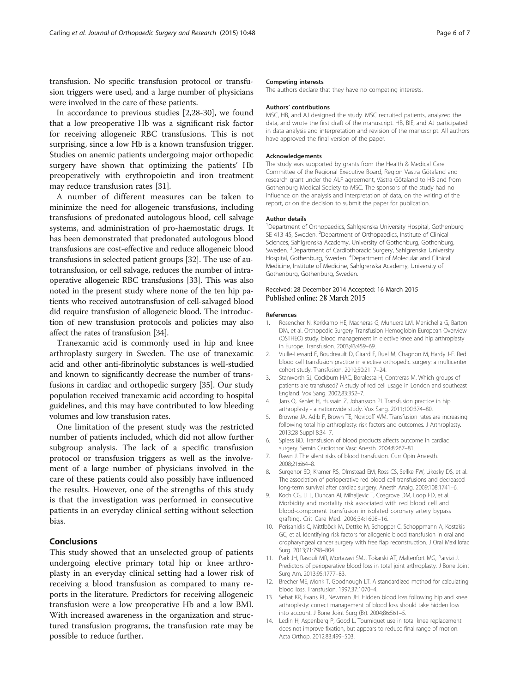<span id="page-5-0"></span>transfusion. No specific transfusion protocol or transfusion triggers were used, and a large number of physicians were involved in the care of these patients.

In accordance to previous studies [2[,28](#page-6-0)-[30\]](#page-6-0), we found that a low preoperative Hb was a significant risk factor for receiving allogeneic RBC transfusions. This is not surprising, since a low Hb is a known transfusion trigger. Studies on anemic patients undergoing major orthopedic surgery have shown that optimizing the patients' Hb preoperatively with erythropoietin and iron treatment may reduce transfusion rates [[31\]](#page-6-0).

A number of different measures can be taken to minimize the need for allogeneic transfusions, including transfusions of predonated autologous blood, cell salvage systems, and administration of pro-haemostatic drugs. It has been demonstrated that predonated autologous blood transfusions are cost-effective and reduce allogeneic blood transfusions in selected patient groups [\[32](#page-6-0)]. The use of autotransfusion, or cell salvage, reduces the number of intraoperative allogeneic RBC transfusions [[33\]](#page-6-0). This was also noted in the present study where none of the ten hip patients who received autotransfusion of cell-salvaged blood did require transfusion of allogeneic blood. The introduction of new transfusion protocols and policies may also affect the rates of transfusion [[34](#page-6-0)].

Tranexamic acid is commonly used in hip and knee arthroplasty surgery in Sweden. The use of tranexamic acid and other anti-fibrinolytic substances is well-studied and known to significantly decrease the number of transfusions in cardiac and orthopedic surgery [\[35\]](#page-6-0). Our study population received tranexamic acid according to hospital guidelines, and this may have contributed to low bleeding volumes and low transfusion rates.

One limitation of the present study was the restricted number of patients included, which did not allow further subgroup analysis. The lack of a specific transfusion protocol or transfusion triggers as well as the involvement of a large number of physicians involved in the care of these patients could also possibly have influenced the results. However, one of the strengths of this study is that the investigation was performed in consecutive patients in an everyday clinical setting without selection bias.

## Conclusions

This study showed that an unselected group of patients undergoing elective primary total hip or knee arthroplasty in an everyday clinical setting had a lower risk of receiving a blood transfusion as compared to many reports in the literature. Predictors for receiving allogeneic transfusion were a low preoperative Hb and a low BMI. With increased awareness in the organization and structured transfusion programs, the transfusion rate may be possible to reduce further.

#### Competing interests

The authors declare that they have no competing interests.

#### Authors' contributions

MSC, HB, and AJ designed the study. MSC recruited patients, analyzed the data, and wrote the first draft of the manuscript. HB, BIE, and AJ participated in data analysis and interpretation and revision of the manuscript. All authors have approved the final version of the paper.

#### Acknowledgements

The study was supported by grants from the Health & Medical Care Committee of the Regional Executive Board, Region Västra Götaland and research grant under the ALF agreement, Västra Götaland to HB and from Gothenburg Medical Society to MSC. The sponsors of the study had no influence on the analysis and interpretation of data, on the writing of the report, or on the decision to submit the paper for publication.

#### Author details

<sup>1</sup>Department of Orthopaedics, Sahlgrenska University Hospital, Gothenburg SE 413 45, Sweden. <sup>2</sup>Department of Orthopaedics, Institute of Clinical Sciences, Sahlgrenska Academy, University of Gothenburg, Gothenburg, Sweden. <sup>3</sup> Department of Cardiothoracic Surgery, Sahlgrenska University Hospital, Gothenburg, Sweden. <sup>4</sup>Department of Molecular and Clinical Medicine, Institute of Medicine, Sahlgrenska Academy, University of Gothenburg, Gothenburg, Sweden.

# Received: 28 December 2014 Accepted: 16 March 2015

#### References

- 1. Rosencher N, Kerkkamp HE, Macheras G, Munuera LM, Menichella G, Barton DM, et al. Orthopedic Surgery Transfusion Hemoglobin European Overview (OSTHEO) study: blood management in elective knee and hip arthroplasty in Europe. Transfusion. 2003;43:459–69.
- 2. Vuille-Lessard É, Boudreault D, Girard F, Ruel M, Chagnon M, Hardy J-F. Red blood cell transfusion practice in elective orthopedic surgery: a multicenter cohort study. Transfusion. 2010;50:2117–24.
- 3. Stanworth SJ, Cockburn HAC, Boralessa H, Contreras M. Which groups of patients are transfused? A study of red cell usage in London and southeast England. Vox Sang. 2002;83:352–7.
- 4. Jans O, Kehlet H, Hussain Z, Johansson PI. Transfusion practice in hip arthroplasty - a nationwide study. Vox Sang. 2011;100:374–80.
- 5. Browne JA, Adib F, Brown TE, Novicoff WM. Transfusion rates are increasing following total hip arthroplasty: risk factors and outcomes. J Arthroplasty. 2013;28 Suppl 8:34–7.
- 6. Spiess BD. Transfusion of blood products affects outcome in cardiac surgery. Semin Cardiothor Vasc Anesth. 2004;8:267–81.
- 7. Rawn J. The silent risks of blood transfusion. Curr Opin Anaesth. 2008;21:664–8.
- 8. Surgenor SD, Kramer RS, Olmstead EM, Ross CS, Sellke FW, Likosky DS, et al. The association of perioperative red blood cell transfusions and decreased long-term survival after cardiac surgery. Anesth Analg. 2009;108:1741–6.
- 9. Koch CG, Li L, Duncan AI, Mihaljevic T, Cosgrove DM, Loop FD, et al. Morbidity and mortality risk associated with red blood cell and blood-component transfusion in isolated coronary artery bypass grafting. Crit Care Med. 2006;34:1608–16.
- 10. Perisanidis C, Mittlböck M, Dettke M, Schopper C, Schoppmann A, Kostakis GC, et al. Identifying risk factors for allogenic blood transfusion in oral and oropharyngeal cancer surgery with free flap reconstruction. J Oral Maxillofac Surg. 2013;71:798–804.
- 11. Park JH, Rasouli MR, Mortazavi SMJ, Tokarski AT, Maltenfort MG, Parvizi J. Predictors of perioperative blood loss in total joint arthroplasty. J Bone Joint Surg Am. 2013;95:1777–83.
- 12. Brecher ME, Monk T, Goodnough LT. A standardized method for calculating blood loss. Transfusion. 1997;37:1070–4.
- 13. Sehat KR, Evans RL, Newman JH. Hidden blood loss following hip and knee arthroplasty: correct management of blood loss should take hidden loss into account. J Bone Joint Surg (Br). 2004;86:561–5.
- 14. Ledin H, Aspenberg P, Good L. Tourniquet use in total knee replacement does not improve fixation, but appears to reduce final range of motion. Acta Orthop. 2012;83:499–503.